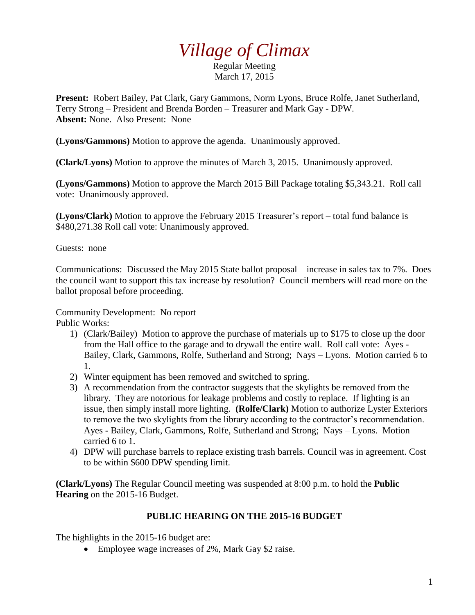## *Village of Climax*

Regular Meeting March 17, 2015

**Present:** Robert Bailey, Pat Clark, Gary Gammons, Norm Lyons, Bruce Rolfe, Janet Sutherland, Terry Strong – President and Brenda Borden – Treasurer and Mark Gay - DPW. **Absent:** None. Also Present: None

**(Lyons/Gammons)** Motion to approve the agenda. Unanimously approved.

**(Clark/Lyons)** Motion to approve the minutes of March 3, 2015. Unanimously approved.

**(Lyons/Gammons)** Motion to approve the March 2015 Bill Package totaling \$5,343.21. Roll call vote: Unanimously approved.

**(Lyons/Clark)** Motion to approve the February 2015 Treasurer's report – total fund balance is \$480,271.38 Roll call vote: Unanimously approved.

Guests: none

Communications: Discussed the May 2015 State ballot proposal – increase in sales tax to 7%. Does the council want to support this tax increase by resolution? Council members will read more on the ballot proposal before proceeding.

Community Development: No report

Public Works:

- 1) (Clark/Bailey) Motion to approve the purchase of materials up to \$175 to close up the door from the Hall office to the garage and to drywall the entire wall. Roll call vote: Ayes - Bailey, Clark, Gammons, Rolfe, Sutherland and Strong; Nays – Lyons. Motion carried 6 to 1.
- 2) Winter equipment has been removed and switched to spring.
- 3) A recommendation from the contractor suggests that the skylights be removed from the library. They are notorious for leakage problems and costly to replace. If lighting is an issue, then simply install more lighting. **(Rolfe/Clark)** Motion to authorize Lyster Exteriors to remove the two skylights from the library according to the contractor's recommendation. Ayes - Bailey, Clark, Gammons, Rolfe, Sutherland and Strong; Nays – Lyons. Motion carried 6 to 1.
- 4) DPW will purchase barrels to replace existing trash barrels. Council was in agreement. Cost to be within \$600 DPW spending limit.

**(Clark/Lyons)** The Regular Council meeting was suspended at 8:00 p.m. to hold the **Public Hearing** on the 2015-16 Budget.

## **PUBLIC HEARING ON THE 2015-16 BUDGET**

The highlights in the 2015-16 budget are:

• Employee wage increases of 2%, Mark Gay \$2 raise.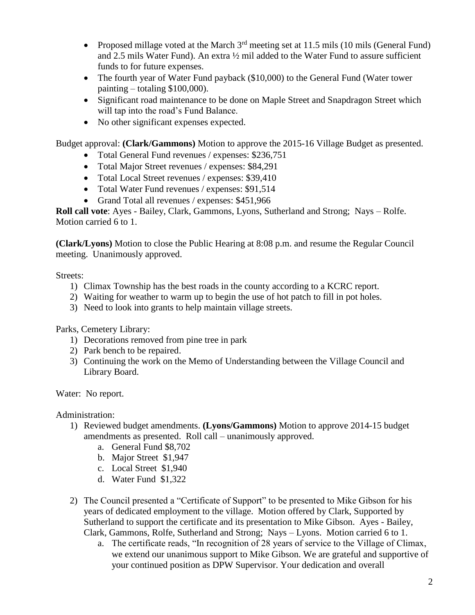- Proposed millage voted at the March  $3<sup>rd</sup>$  meeting set at 11.5 mils (10 mils (General Fund) and 2.5 mils Water Fund). An extra ½ mil added to the Water Fund to assure sufficient funds to for future expenses.
- The fourth year of Water Fund payback (\$10,000) to the General Fund (Water tower painting – totaling \$100,000).
- Significant road maintenance to be done on Maple Street and Snapdragon Street which will tap into the road's Fund Balance.
- No other significant expenses expected.

Budget approval: **(Clark/Gammons)** Motion to approve the 2015-16 Village Budget as presented.

- Total General Fund revenues / expenses: \$236,751
- Total Major Street revenues / expenses: \$84,291
- Total Local Street revenues / expenses: \$39,410
- Total Water Fund revenues / expenses: \$91,514
- Grand Total all revenues / expenses: \$451,966

**Roll call vote**: Ayes - Bailey, Clark, Gammons, Lyons, Sutherland and Strong; Nays – Rolfe. Motion carried 6 to 1.

**(Clark/Lyons)** Motion to close the Public Hearing at 8:08 p.m. and resume the Regular Council meeting. Unanimously approved.

## Streets:

- 1) Climax Township has the best roads in the county according to a KCRC report.
- 2) Waiting for weather to warm up to begin the use of hot patch to fill in pot holes.
- 3) Need to look into grants to help maintain village streets.

Parks, Cemetery Library:

- 1) Decorations removed from pine tree in park
- 2) Park bench to be repaired.
- 3) Continuing the work on the Memo of Understanding between the Village Council and Library Board.

Water: No report.

Administration:

- 1) Reviewed budget amendments. **(Lyons/Gammons)** Motion to approve 2014-15 budget amendments as presented. Roll call – unanimously approved.
	- a. General Fund \$8,702
	- b. Major Street \$1,947
	- c. Local Street \$1,940
	- d. Water Fund \$1,322
- 2) The Council presented a "Certificate of Support" to be presented to Mike Gibson for his years of dedicated employment to the village. Motion offered by Clark, Supported by Sutherland to support the certificate and its presentation to Mike Gibson. Ayes - Bailey, Clark, Gammons, Rolfe, Sutherland and Strong; Nays – Lyons. Motion carried 6 to 1.
	- a. The certificate reads, "In recognition of 28 years of service to the Village of Climax, we extend our unanimous support to Mike Gibson. We are grateful and supportive of your continued position as DPW Supervisor. Your dedication and overall